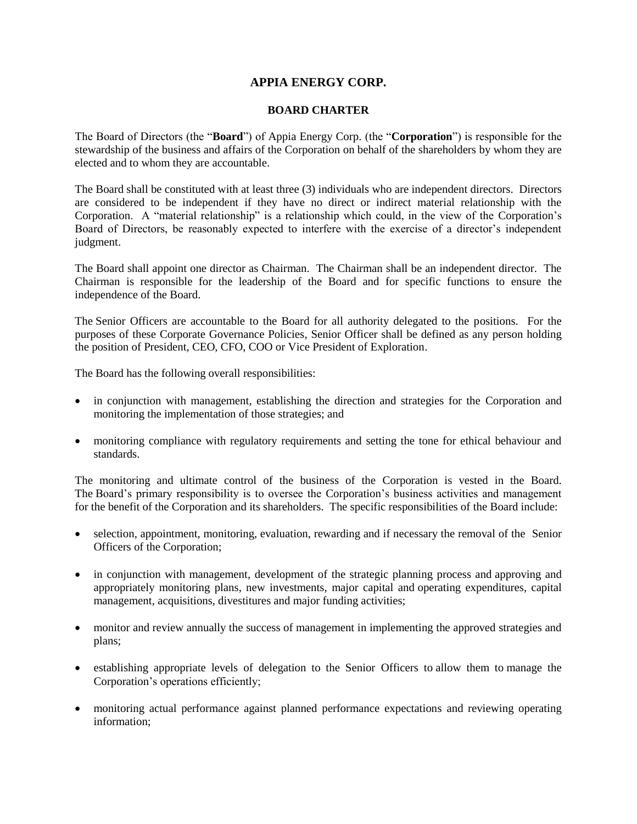## **APPIA ENERGY CORP.**

## **BOARD CHARTER**

The Board of Directors (the "**Board**") of Appia Energy Corp. (the "**Corporation**") is responsible for the stewardship of the business and affairs of the Corporation on behalf of the shareholders by whom they are elected and to whom they are accountable.

The Board shall be constituted with at least three (3) individuals who are independent directors. Directors are considered to be independent if they have no direct or indirect material relationship with the Corporation. A "material relationship" is a relationship which could, in the view of the Corporation's Board of Directors, be reasonably expected to interfere with the exercise of a director's independent judgment.

The Board shall appoint one director as Chairman. The Chairman shall be an independent director. The Chairman is responsible for the leadership of the Board and for specific functions to ensure the independence of the Board.

The Senior Officers are accountable to the Board for all authority delegated to the positions. For the purposes of these Corporate Governance Policies, Senior Officer shall be defined as any person holding the position of President, CEO, CFO, COO or Vice President of Exploration.

The Board has the following overall responsibilities:

- in conjunction with management, establishing the direction and strategies for the Corporation and monitoring the implementation of those strategies; and
- monitoring compliance with regulatory requirements and setting the tone for ethical behaviour and standards.

The monitoring and ultimate control of the business of the Corporation is vested in the Board. The Board's primary responsibility is to oversee the Corporation's business activities and management for the benefit of the Corporation and its shareholders. The specific responsibilities of the Board include:

- selection, appointment, monitoring, evaluation, rewarding and if necessary the removal of the Senior Officers of the Corporation;
- in conjunction with management, development of the strategic planning process and approving and appropriately monitoring plans, new investments, major capital and operating expenditures, capital management, acquisitions, divestitures and major funding activities;
- monitor and review annually the success of management in implementing the approved strategies and plans;
- establishing appropriate levels of delegation to the Senior Officers to allow them to manage the Corporation's operations efficiently;
- monitoring actual performance against planned performance expectations and reviewing operating information;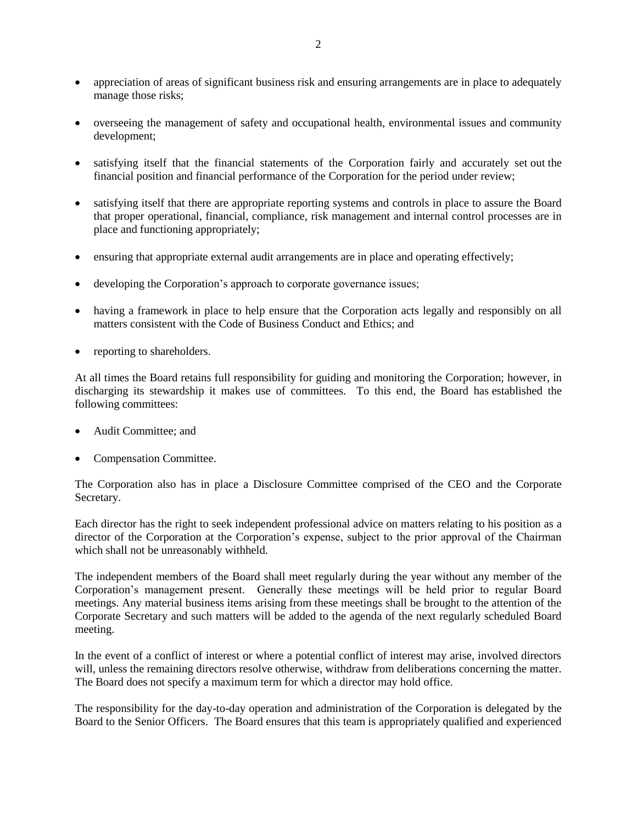- appreciation of areas of significant business risk and ensuring arrangements are in place to adequately manage those risks;
- overseeing the management of safety and occupational health, environmental issues and community development;
- satisfying itself that the financial statements of the Corporation fairly and accurately set out the financial position and financial performance of the Corporation for the period under review;
- satisfying itself that there are appropriate reporting systems and controls in place to assure the Board that proper operational, financial, compliance, risk management and internal control processes are in place and functioning appropriately;
- ensuring that appropriate external audit arrangements are in place and operating effectively;
- developing the Corporation's approach to corporate governance issues;
- having a framework in place to help ensure that the Corporation acts legally and responsibly on all matters consistent with the Code of Business Conduct and Ethics; and
- reporting to shareholders.

At all times the Board retains full responsibility for guiding and monitoring the Corporation; however, in discharging its stewardship it makes use of committees. To this end, the Board has established the following committees:

- Audit Committee; and
- Compensation Committee.

The Corporation also has in place a Disclosure Committee comprised of the CEO and the Corporate Secretary.

Each director has the right to seek independent professional advice on matters relating to his position as a director of the Corporation at the Corporation's expense, subject to the prior approval of the Chairman which shall not be unreasonably withheld.

The independent members of the Board shall meet regularly during the year without any member of the Corporation's management present. Generally these meetings will be held prior to regular Board meetings. Any material business items arising from these meetings shall be brought to the attention of the Corporate Secretary and such matters will be added to the agenda of the next regularly scheduled Board meeting.

In the event of a conflict of interest or where a potential conflict of interest may arise, involved directors will, unless the remaining directors resolve otherwise, withdraw from deliberations concerning the matter. The Board does not specify a maximum term for which a director may hold office.

The responsibility for the day-to-day operation and administration of the Corporation is delegated by the Board to the Senior Officers. The Board ensures that this team is appropriately qualified and experienced